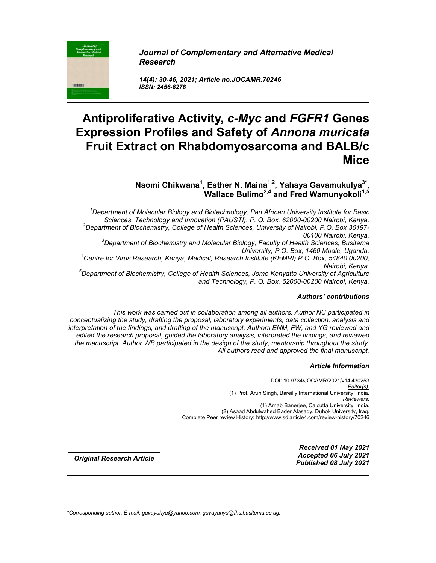*Journal of Complementary and Alternative Medical Research*

*14(4): 30-46, 2021; Article no.JOCAMR.70246 ISSN: 2456-6276*

# **Antiproliferative Activity,** *c-Myc* **and** *FGFR1* **Genes Expression Profiles and Safety of** *Annona muricata* **Fruit Extract on Rhabdomyosarcoma and BALB/c Mice**

**Naomi Chikwana1 , Esther N. Maina1,2 , Yahaya Gavamukulya3\* , Wallace Bulimo2,4 and Fred Wamunyokoli1,5**

*1 Department of Molecular Biology and Biotechnology, Pan African University Institute for Basic Sciences, Technology and Innovation (PAUSTI), P. O. Box, 62000-00200 Nairobi, Kenya. <sup>2</sup> Department of Biochemistry, College of Health Sciences, University of Nairobi, P.O. Box 30197- 00100 Nairobi, Kenya. <sup>3</sup> Department of Biochemistry and Molecular Biology, Faculty of Health Sciences, Busitema University, P.O. Box, 1460 Mbale, Uganda. 4 Centre for Virus Research, Kenya, Medical, Research Institute (KEMRI) P.O. Box, 54840 00200, Nairobi, Kenya. 5 Department of Biochemistry, College of Health Sciences, Jomo Kenyatta University of Agriculture and Technology, P. O. Box, 62000-00200 Nairobi, Kenya.*

# *Authors' contributions*

*This work was carried out in collaboration among all authors. Author NC participated in conceptualizing the study, drafting the proposal, laboratory experiments, data collection, analysis and interpretation of the findings, and drafting of the manuscript. Authors ENM, FW, and YG reviewed and edited the research proposal, guided the laboratory analysis, interpreted the findings, and reviewed the manuscript. Author WB participated in the design of the study, mentorship throughout the study. All authors read and approved the final manuscript.*

\_\_\_\_\_\_\_\_\_\_\_\_\_\_\_\_\_\_\_\_\_\_\_\_\_\_\_\_\_\_\_\_\_\_\_\_\_\_\_\_\_\_\_\_\_\_\_\_\_\_\_\_\_\_\_\_\_\_\_\_\_\_\_\_\_\_\_\_\_\_\_\_\_\_\_\_\_\_\_\_\_\_\_\_\_\_\_\_\_\_\_\_\_\_\_\_\_\_\_\_\_

#### *Article Information*

DOI: 10.9734/JOCAMR/2021/v14i430253 *Editor(s):* (1) Prof. Arun Singh, Bareilly International University, India. *Reviewers:* (1) Arnab Banerjee, Calcutta University, India. (2) Asaad Abdulwahed Bader Alasady, Duhok University, Iraq. Complete Peer review History: http://www.sdiarticle4.com/review-history/70246

*Received 01 May 2021 Accepted 06 July 2021 Published 08 July <sup>2021</sup> Original Research Article*

*\*Corresponding author: E-mail: gavayahya@yahoo.com, gavayahya@fhs.busitema.ac.ug;*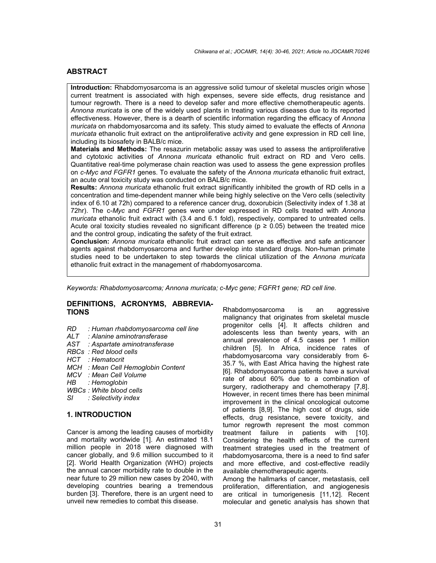# **ABSTRACT**

**Introduction:** Rhabdomyosarcoma is an aggressive solid tumour of skeletal muscles origin whose current treatment is associated with high expenses, severe side effects, drug resistance and tumour regrowth. There is a need to develop safer and more effective chemotherapeutic agents. *Annona muricata* is one of the widely used plants in treating various diseases due to its reported effectiveness. However, there is a dearth of scientific information regarding the efficacy of *Annona muricata* on rhabdomyosarcoma and its safety. This study aimed to evaluate the effects of *Annona muricata* ethanolic fruit extract on the antiproliferative activity and gene expression in RD cell line, including its biosafety in BALB/c mice.

**Materials and Methods:** The resazurin metabolic assay was used to assess the antiproliferative and cytotoxic activities of *Annona muricata* ethanolic fruit extract on RD and Vero cells. Quantitative real-time polymerase chain reaction was used to assess the gene expression profiles on *c-Myc and FGFR1* genes. To evaluate the safety of the *Annona muricata* ethanolic fruit extract, an acute oral toxicity study was conducted on BALB/c mice.

**Results:** *Annona muricata* ethanolic fruit extract significantly inhibited the growth of RD cells in a concentration and time-dependent manner while being highly selective on the Vero cells (selectivity index of 6.10 at 72h) compared to a reference cancer drug, doxorubicin (Selectivity index of 1.38 at 72hr). The c*-Myc* and *FGFR1* genes were under expressed in RD cells treated with *Annona muricata* ethanolic fruit extract with (3.4 and 6.1 fold), respectively, compared to untreated cells. Acute oral toxicity studies revealed no significant difference ( $p \ge 0.05$ ) between the treated mice and the control group, indicating the safety of the fruit extract.

**Conclusion:** *Annona muricata* ethanolic fruit extract can serve as effective and safe anticancer agents against rhabdomyosarcoma and further develop into standard drugs. Non-human primate studies need to be undertaken to step towards the clinical utilization of the *Annona muricata* ethanolic fruit extract in the management of rhabdomyosarcoma.

*Keywords: Rhabdomyosarcoma; Annona muricata; c-Myc gene; FGFR1 gene; RD cell line.*

### **DEFINITIONS, ACRONYMS, ABBREVIA-TIONS**

- *RD : Human rhabdomyosarcoma cell line*
- *ALT : Alanine aminotransferase*
- *AST : Aspartate aminotransferase*
- *RBCs : Red blood cells*
- *HCT : Hematocrit*
- *MCH : Mean Cell Hemoglobin Content*
- *MCV : Mean Cell Volume*
- *HB : Hemoglobin*
- *WBCs : White blood cells*
- *SI : Selectivity index*

### **1. INTRODUCTION**

Cancer is among the leading causes of morbidity and mortality worldwide [1]. An estimated 18.1 million people in 2018 were diagnosed with cancer globally, and 9.6 million succumbed to it [2]. World Health Organization (WHO) projects the annual cancer morbidity rate to double in the near future to 29 million new cases by 2040, with developing countries bearing a tremendous burden [3]. Therefore, there is an urgent need to unveil new remedies to combat this disease.

Rhabdomyosarcoma is an aggressive malignancy that originates from skeletal muscle progenitor cells [4]. It affects children and adolescents less than twenty years, with an annual prevalence of 4.5 cases per 1 million children [5]. In Africa, incidence rates of rhabdomyosarcoma vary considerably from 6- 35.7 %, with East Africa having the highest rate [6]. Rhabdomyosarcoma patients have a survival rate of about 60% due to a combination of surgery, radiotherapy and chemotherapy [7,8]. However, in recent times there has been minimal improvement in the clinical oncological outcome of patients [8,9]. The high cost of drugs, side effects, drug resistance, severe toxicity, and tumor regrowth represent the most common treatment failure in patients with [10]. Considering the health effects of the current treatment strategies used in the treatment of rhabdomyosarcoma, there is a need to find safer and more effective, and cost-effective readily available chemotherapeutic agents.

Among the hallmarks of cancer, metastasis, cell proliferation, differentiation, and angiogenesis are critical in tumorigenesis [11,12]. Recent molecular and genetic analysis has shown that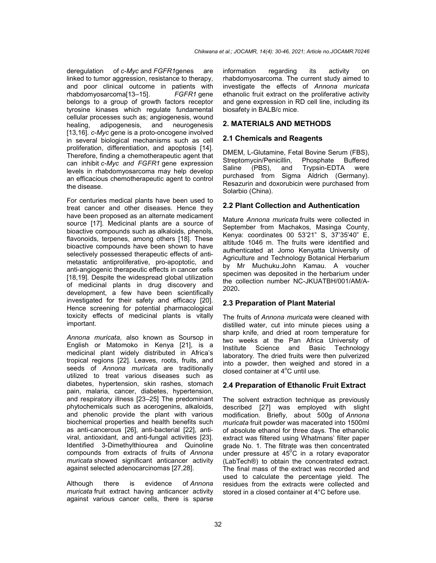deregulation of *c-Myc* and *FGFR1*genes are linked to tumor aggression, resistance to therapy, and poor clinical outcome in patients with rhabdomyosarcoma[13–15]. *FGFR1* gene belongs to a group of growth factors receptor tyrosine kinases which regulate fundamental cellular processes such as; angiogenesis, wound healing, adipogenesis, and neurogenesis [13,16]. *c-Myc* gene is a proto-oncogene involved in several biological mechanisms such as cell proliferation, differentiation, and apoptosis [14]. Therefore, finding a chemotherapeutic agent that can inhibit *c-Myc and FGFR1* gene expression levels in rhabdomyosarcoma may help develop an efficacious chemotherapeutic agent to control the disease.

For centuries medical plants have been used to treat cancer and other diseases. Hence they have been proposed as an alternate medicament source [17]. Medicinal plants are a source of bioactive compounds such as alkaloids, phenols, flavonoids, terpenes, among others [18]. These bioactive compounds have been shown to have selectively possessed therapeutic effects of antimetastatic antiproliferative, pro-apoptotic, and anti-angiogenic therapeutic effects in cancer cells [18,19]. Despite the widespread global utilization of medicinal plants in drug discovery and development, a few have been scientifically investigated for their safety and efficacy [20]. Hence screening for potential pharmacological toxicity effects of medicinal plants is vitally important.

*Annona muricata*, also known as Soursop in English or Matomoko in Kenya [21], is a medicinal plant widely distributed in Africa's tropical regions [22]. Leaves, roots, fruits, and seeds of *Annona muricata* are traditionally utilized to treat various diseases such as diabetes, hypertension, skin rashes, stomach pain, malaria, cancer, diabetes, hypertension, and respiratory illness [23–25] The predominant phytochemicals such as acerogenins, alkaloids, and phenolic provide the plant with various biochemical properties and health benefits such as anti-cancerous [26], anti-bacterial [22], antiviral, antioxidant, and anti-fungal activities [23]. Identified 3-Dimethylthiourea and Quinoline compounds from extracts of fruits of *Annona muricata* showed significant anticancer activity against selected adenocarcinomas [27,28].

Although there is evidence of *Annona muricata* fruit extract having anticancer activity against various cancer cells, there is sparse information regarding its activity on rhabdomyosarcoma. The current study aimed to investigate the effects of *Annona muricata* ethanolic fruit extract on the proliferative activity and gene expression in RD cell line, including its biosafety in BALB/c mice.

### **2. MATERIALS AND METHODS**

### **2.1 Chemicals and Reagents**

DMEM, L-Glutamine, Fetal Bovine Serum (FBS), Streptomycin/Penicillin, Saline (PBS), and Trypsin-EDTA were purchased from Sigma Aldrich (Germany). Resazurin and doxorubicin were purchased from Solarbio (China).

### **2.2 Plant Collection and Authentication**

Mature *Annona muricata* fruits were collected in September from Machakos, Masinga County, Kenya: coordinates 00 53'21" S, 37'35'40" E, altitude 1046 m. The fruits were identified and authenticated at Jomo Kenyatta University of Agriculture and Technology Botanical Herbarium by Mr Muchuku.John Kamau. A voucher specimen was deposited in the herbarium under the collection number NC-JKUATBH/001/AM/A-2020**.**

# **2.3 Preparation of Plant Material**

The fruits of *Annona muricata* were cleaned with distilled water, cut into minute pieces using a sharp knife, and dried at room temperature for two weeks at the Pan Africa University of Institute Science and Basic Technology laboratory. The dried fruits were then pulverized into a powder, then weighed and stored in a closed container at 4°C until use.

#### **2.4 Preparation of Ethanolic Fruit Extract**

The solvent extraction technique as previously described [27] was employed with slight modification. Briefly, about 500g of *Annona muricata* fruit powder was macerated into 1500ml of absolute ethanol for three days. The ethanolic extract was filtered using Whatmans' filter paper grade No. 1. The filtrate was then concentrated under pressure at  $45^{\circ}$ C in a rotary evaporator (LabTech®) to obtain the concentrated extract. The final mass of the extract was recorded and used to calculate the percentage yield. The residues from the extracts were collected and stored in a closed container at 4°C before use.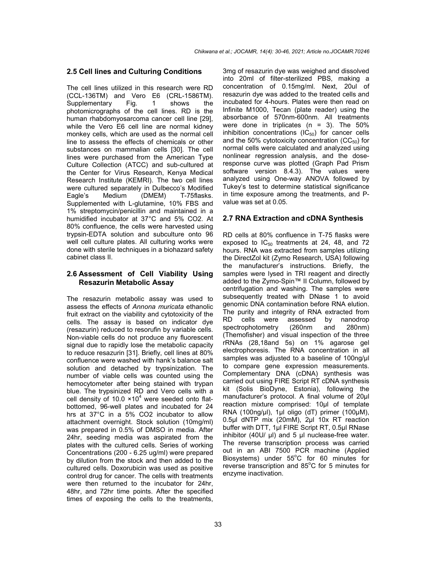#### **2.5 Cell lines and Culturing Conditions**

The cell lines utilized in this research were RD (CCL-136TM) and Vero E6 (CRL-1586TM). Supplementary Fig. 1 shows the photomicrographs of the cell lines. RD is the human rhabdomyosarcoma cancer cell line [29], while the Vero E6 cell line are normal kidney monkey cells, which are used as the normal cell line to assess the effects of chemicals or other substances on mammalian cells [30]. The cell lines were purchased from the American Type Culture Collection (ATCC) and sub-cultured at the Center for Virus Research, Kenya Medical Research Institute (KEMRI). The two cell lines were cultured separately in Dulbecco's Modified Eagle's Medium (DMEM) T-75flasks. Supplemented with L-glutamine, 10% FBS and 1% streptomycin/penicillin and maintained in a humidified incubator at 37°C and 5% CO2. At 80% confluence, the cells were harvested using trypsin-EDTA solution and subculture onto 96 well cell culture plates. All culturing works were done with sterile techniques in a biohazard safety cabinet class II.

### **2.6 Assessment of Cell Viability Using Resazurin Metabolic Assay**

The resazurin metabolic assay was used to assess the effects of *Annona muricata* ethanolic fruit extract on the viability and cytotoxicity of the cells. The assay is based on indicator dye (resazurin) reduced to resorufin by variable cells. Non-viable cells do not produce any fluorescent signal due to rapidly lose the metabolic capacity to reduce resazurin [31]. Briefly, cell lines at 80% confluence were washed with hank's balance salt solution and detached by trypsinization. The number of viable cells was counted using the hemocytometer after being stained with trypan blue. The trypsinized RD and Vero cells with a cell density of 10.0  $\times$ 10<sup>4</sup> were seeded onto flatbottomed, 96-well plates and incubated for 24 hrs at 37°C in a 5% CO2 incubator to allow attachment overnight. Stock solution (10mg/ml) was prepared in 0.5% of DMSO in media. After 24hr, seeding media was aspirated from the plates with the cultured cells. Series of working Concentrations (200 - 6.25 ug/ml) were prepared by dilution from the stock and then added to the cultured cells. Doxorubicin was used as positive control drug for cancer. The cells with treatments were then returned to the incubator for 24hr, 48hr, and 72hr time points. After the specified times of exposing the cells to the treatments,

3mg of resazurin dye was weighed and dissolved into 20ml of filter-sterilized PBS, making a concentration of 0.15mg/ml. Next, 20ul of resazurin dye was added to the treated cells and incubated for 4-hours. Plates were then read on Infinite M1000, Tecan (plate reader) using the absorbance of 570nm-600nm. All treatments were done in triplicates  $(n = 3)$ . The 50% inhibition concentrations  $(IC_{50})$  for cancer cells and the 50% cytotoxicity concentration  $(CC_{50})$  for normal cells were calculated and analyzed using nonlinear regression analysis, and the doseresponse curve was plotted (Graph Pad Prism software version 8.4.3). The values were analyzed using One-way ANOVA followed by Tukey's test to determine statistical significance in time exposure among the treatments, and Pvalue was set at 0.05.

#### **2.7 RNA Extraction and cDNA Synthesis**

RD cells at 80% confluence in T-75 flasks were exposed to  $IC_{50}$  treatments at 24, 48, and 72 hours. RNA was extracted from samples utilizing the DirectZol kit (Zymo Research, USA) following the manufacturer's instructions. Briefly, the samples were lysed in TRI reagent and directly added to the Zymo-Spin™ II Column, followed by centrifugation and washing. The samples were subsequently treated with DNase 1 to avoid genomic DNA contamination before RNA elution. The purity and integrity of RNA extracted from RD cells were assessed by nanodrop spectrophotometry (260nm and 280nm) (Themofisher) and visual inspection of the three rRNAs (28,18and 5s) on 1% agarose gel electrophoresis. The RNA concentration in all samples was adjusted to a baseline of 100ng/μl to compare gene expression measurements. Complementary DNA (cDNA) synthesis was carried out using FIRE Script RT cDNA synthesis kit (Solis BioDyne, Estonia), following the manufacturer's protocol. A final volume of 20µl reaction mixture comprised: 10μl of template RNA (100ng/μl), 1μl oligo (dT) primer (100μM), 0.5μl dNTP mix (20mM), 2μl 10x RT reaction buffer with DTT, 1μl FIRE Script RT, 0.5μl RNase inhibitor (40U/ μl) and 5 μl nuclease-free water. The reverse transcription process was carried out in an ABI 7500 PCR machine (Applied Biosystems) under  $55^{\circ}$ C for 60 minutes for reverse transcription and 85°C for 5 minutes for enzyme inactivation.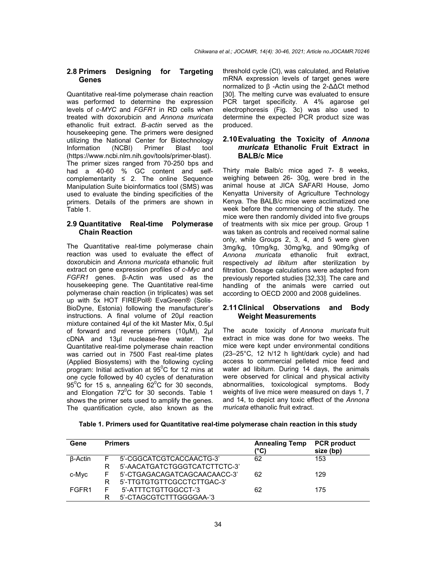### **2.8 Primers Designing for Targeting Genes**

Quantitative real-time polymerase chain reaction was performed to determine the expression levels of *c-MYC* and *FGFR1* in RD cells when treated with doxorubicin and *Annona muricata* ethanolic fruit extract. *Β-actin* served as the housekeeping gene*.* The primers were designed utilizing the National Center for Biotechnology Information (NCBI) Primer Blast tool (https://www.ncbi.nlm.nih.gov/tools/primer-blast). [The primer sizes ranged](https://www.google.com/url?q=https%3A%2F%2Fwww.ncbi.nlm.nih.gov%2Ftools%2Fprimer-blast&sa=D&sntz=1&usg=AFQjCNH-kYawRpFRXEzp4W-0P-N6sog3UA) from 70-250 bps and had a 40-60 % GC content and selfcomplementarity  $\leq$  2. The online Sequence Manipulation Suite bioinformatics tool (SMS) was used to evaluate the binding specificities of the primers. Details of the primers are shown in Table 1.

### **2.9 Quantitative Real-time Polymerase Chain Reaction**

The Quantitative real-time polymerase chain reaction was used to evaluate the effect of doxorubicin and *Annona muricata* ethanolic fruit extract on gene expression profiles of *c-Myc* and *FGFR1* genes. β-Actin was used as the housekeeping gene. The Quantitative real-time polymerase chain reaction (in triplicates) was set up with 5x HOT FIREPol® EvaGreen® (Solis-BioDyne, Estonia) following the manufacturer's instructions. A final volume of 20μl reaction mixture contained 4μl of the kit Master Mix, 0.5μl of forward and reverse primers (10μM), 2μl cDNA and 13μl nuclease-free water. The Quantitative real-time polymerase chain reaction was carried out in 7500 Fast real-time plates (Applied Biosystems) with the following cycling program: Initial activation at  $95^{\circ}$ C for 12 mins at one cycle followed by 40 cycles of denaturation  $95^{\circ}$ C for 15 s, annealing  $62^{\circ}$ C for 30 seconds, and Elongation  $72^{\circ}$ C for 30 seconds. Table 1 shows the primer sets used to amplify the genes. The quantification cycle, also known as the

threshold cycle (Ct), was calculated, and Relative mRNA expression levels of target genes were normalized to β -Actin using the 2-ΔΔCt method [30]. The melting curve was evaluated to ensure PCR target specificity. A 4% agarose gel electrophoresis (Fig. 3c) was also used to determine the expected PCR product size was produced.

# **2.10Evaluating the Toxicity of** *Annona muricata* **Ethanolic Fruit Extract in BALB/c Mice**

Thirty male Balb/c mice aged 7- 8 weeks, weighing between 26- 30g, were bred in the animal house at JICA SAFARI House, Jomo Kenyatta University of Agriculture Technology Kenya. The BALB/c mice were acclimatized one week before the commencing of the study. The mice were then randomly divided into five groups of treatments with six mice per group. Group 1 was taken as controls and received normal saline only, while Groups 2, 3, 4, and 5 were given 3mg/kg, 10mg/kg, 30mg/kg, and 90mg/kg of *Annona muricata* ethanolic fruit extract, respectively *ad libitum* after sterilization by filtration. Dosage calculations were adapted from previously reported studies [32,33]. The care and handling of the animals were carried out according to OECD 2000 and 2008 guidelines.

# **2.11Clinical Observations and Body Weight Measurements**

The acute toxicity of *Annona muricata* fruit extract in mice was done for two weeks. The mice were kept under environmental conditions (23–25°C, 12 h/12 h light/dark cycle) and had access to commercial pelleted mice feed and water ad libitum. During 14 days, the animals were observed for clinical and physical activity abnormalities, toxicological symptoms. Body weights of live mice were measured on days 1, 7 and 14, to depict any toxic effect of the *Annona muricata* ethanolic fruit extract.

| Table 1. Primers used for Quantitative real-time polymerase chain reaction in this study |  |
|------------------------------------------------------------------------------------------|--|
|------------------------------------------------------------------------------------------|--|

| Gene              |   | <b>Primers</b>                | <b>Annealing Temp</b><br>(°C) | <b>PCR</b> product<br>size (bp) |  |
|-------------------|---|-------------------------------|-------------------------------|---------------------------------|--|
| β-Actin           |   | 5'-CGGCATCGTCACCAACTG-3'      | 62                            | 153                             |  |
|                   |   | 5'-AACATGATCTGGGTCATCTTCTC-3' |                               |                                 |  |
| c-Myc             |   | 5'-CTGAGACAGATCAGCAACAACC-3'  | 62                            | 129                             |  |
|                   | R | 5'-TTGTGTGTTCGCCTCTTGAC-3'    |                               |                                 |  |
| FGFR <sub>1</sub> |   | 5'-ATTTCTGTTGGCCT-'3          | 62                            | 175                             |  |
|                   |   | 5'-CTAGCGTCTTTGGGGAA-'3       |                               |                                 |  |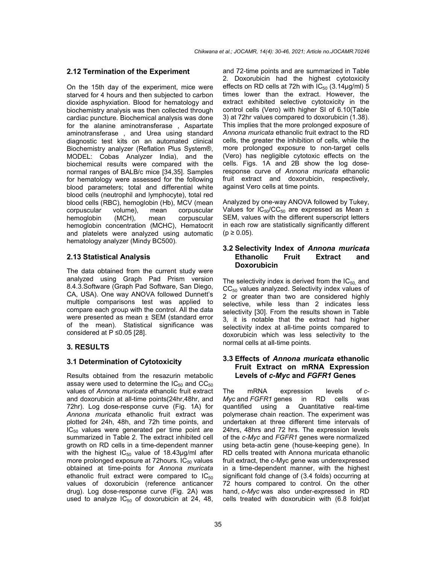# **2.12 Termination of the Experiment**

On the 15th day of the experiment, mice were starved for 4 hours and then subjected to carbon dioxide asphyxiation. Blood for hematology and biochemistry analysis was then collected through cardiac puncture. Biochemical analysis was done for the alanine aminotransferase , Aspartate aminotransferase , and Urea using standard diagnostic test kits on an automated clinical Biochemistry analyzer (Reflation Plus System®, MODEL: Cobas Analyzer India), and the biochemical results were compared with the normal ranges of BALB/c mice [34,35]. Samples for hematology were assessed for the following blood parameters; total and differential white blood cells (neutrophil and lymphocyte), total red blood cells (RBC), hemoglobin (Hb), MCV (mean corpuscular volume). mean corpuscular corpuscular volume), mean corpuscular hemoglobin (MCH), mean corpuscular hemoglobin concentration (MCHC), Hematocrit and platelets were analyzed using automatic hematology analyzer (Mindy BC500).

# **2.13 Statistical Analysis**

The data obtained from the current study were analyzed using Graph Pad Prism version 8.4.3.Software (Graph Pad Software, San Diego, CA, USA). One way ANOVA followed Dunnett's multiple comparisons test was applied to compare each group with the control. All the data were presented as mean ± SEM (standard error of the mean). Statistical significance was considered at  $P \le 0.05$  [28].

# **3. RESULTS**

# **3.1 Determination of Cytotoxicity**

Results obtained from the resazurin metabolic assay were used to determine the  $IC_{50}$  and  $CC_{50}$ values of *Annona muricata* ethanolic fruit extract and doxorubicin at all-time points(24hr,48hr, and 72hr). Log dose-response curve (Fig. 1A) for *Annona muricata* ethanolic fruit extract was plotted for 24h, 48h, and 72h time points, and  $IC_{50}$  values were generated per time point are summarized in Table 2. The extract inhibited cell growth on RD cells in a time-dependent manner with the highest  $IC_{50}$  value of 18.43µg/ml after more prolonged exposure at 72 hours.  $IC_{50}$  values obtained at time-points for *Annona muricata* ethanolic fruit extract were compared to  $IC_{50}$ values of doxorubicin (reference anticancer drug). Log dose-response curve (Fig. 2A) was used to analyze  $IC_{50}$  of doxorubicin at 24, 48, and 72-time points and are summarized in Table 2. Doxorubicin had the highest cytotoxicity effects on RD cells at 72h with  $IC_{50}$  (3.14 $\mu$ g/ml) 5 times lower than the extract. However, the extract exhibited selective cytotoxicity in the control cells (Vero) with higher SI of 6.10(Table 3) at 72hr values compared to doxorubicin (1.38). This implies that the more prolonged exposure of *Annona muricata* ethanolic fruit extract to the RD cells, the greater the inhibition of cells, while the more prolonged exposure to non-target cells (Vero) has negligible cytotoxic effects on the cells. Figs. 1A and 2B show the log doseresponse curve of *Annona muricata* ethanolic fruit extract and doxorubicin, respectively, against Vero cells at time points.

Analyzed by one-way ANOVA followed by Tukey, Values for  $IC_{50}/CC_{50}$  are expressed as Mean  $\pm$ SEM, values with the different superscript letters in each row are statistically significantly different  $(p \ge 0.05)$ .

# **3.2 Selectivity Index of** *Annona muricata* **Ethanolic Fruit Extract and Doxorubicin**

The selectivity index is derived from the  $IC_{50}$  and  $CC_{50}$  values analyzed. Selectivity index values of 2 or greater than two are considered highly selective, while less than 2 indicates less selectivity [30]. From the results shown in Table 3, it is notable that the extract had higher selectivity index at all-time points compared to doxorubicin which was less selectivity to the normal cells at all-time points.

# **3.3 Effects of** *Annona muricata* **ethanolic Fruit Extract on mRNA Expression Levels of** *c-Myc* **and** *FGFR1* **Genes**

The mRNA expression levels of *c-Myc* and *FGFR1* genes in RD cells was quantified using a Quantitative real-time polymerase chain reaction. The experiment was undertaken at three different time intervals of 24hrs, 48hrs and 72 hrs. The expression levels of the *c-Myc* and *FGFR1* genes were normalized using beta-actin gene (house-keeping gene). In RD cells treated with Annona muricata ethanolic fruit extract, the c-Myc gene was underexpressed in a time-dependent manner, with the highest significant fold change of (3.4 folds) occurring at 72 hours compared to control. On the other hand, *c-Myc* was also under-expressed in RD cells treated with doxorubicin with (6.8 fold)at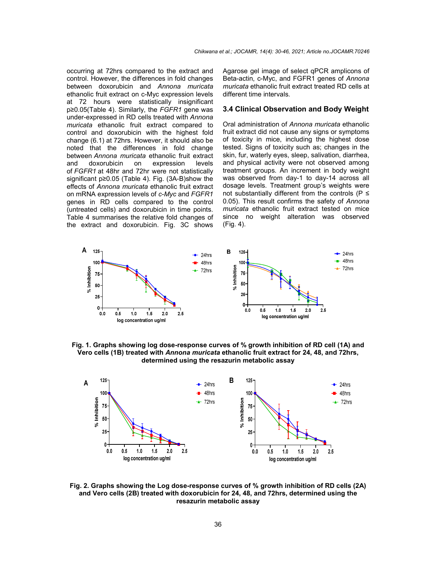occurring at 72hrs compared to the extract and control. However, the differences in fold changes between doxorubicin and *Annona muricata* ethanolic fruit extract on c-Myc expression levels at 72 hours were statistically insignificant p≥0.05(Table 4). Similarly, the *FGFR1* gene was under-expressed in RD cells treated with *Annona muricata* ethanolic fruit extract compared to control and doxorubicin with the highest fold change (6.1) at 72hrs. However, it should also be noted that the differences in fold change between *Annona muricata* ethanolic fruit extract and doxorubicin on expression levels of *FGFR1* at 48hr and 72hr were not statistically significant p≥0.05 (Table 4). Fig. (3A-B)show the effects of *Annona muricata* ethanolic fruit extract on mRNA expression levels of *c-Myc* and *FGFR1*  genes in RD cells compared to the control (untreated cells) and doxorubicin in time points. Table 4 summarises the relative fold changes of the extract and doxorubicin. Fig. 3C shows

Agarose gel image of select qPCR amplicons of Beta-actin, c-Myc, and FGFR1 genes of *Annona muricata* ethanolic fruit extract treated RD cells at different time intervals.

# **3.4 Clinical Observation and Body Weight**

Oral administration of *Annona muricata* ethanolic fruit extract did not cause any signs or symptoms of toxicity in mice, including the highest dose tested. Signs of toxicity such as; changes in the skin, fur, waterly eyes, sleep, salivation, diarrhea, and physical activity were not observed among treatment groups. An increment in body weight was observed from day-1 to day-14 across all dosage levels. Treatment group's weights were not substantially different from the controls ( $P \leq$ 0.05). This result confirms the safety of *Annona muricata* ethanolic fruit extract tested on mice since no weight alteration was observed (Fig. 4).



**Fig. 1. Graphs showing log dose-response curves of % growth inhibition of RD cell (1A) and Vero cells (1B) treated with** *Annona muricata* **ethanolic fruit extract for 24, 48, and 72hrs, determined using the resazurin metabolic assay**



**Fig. 2. Graphs showing the Log dose-response curves of % growth inhibition of RD cells (2A) and Vero cells (2B) treated with doxorubicin for 24, 48, and 72hrs, determined using the resazurin metabolic assay**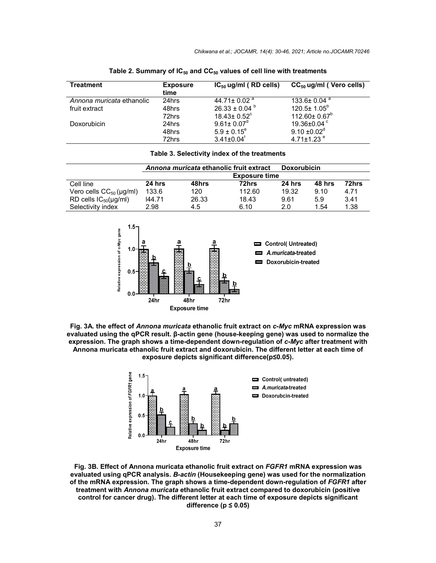| Treatment                 | <b>Exposure</b><br>time | $IC_{50}$ ug/ml (RD cells)    | $CC_{50}$ ug/ml (Vero cells)  |
|---------------------------|-------------------------|-------------------------------|-------------------------------|
| Annona muricata ethanolic | 24hrs                   | 44.71 ± 0.02 $^{\circ}$       | $133.6 \pm 0.04$ <sup>a</sup> |
| fruit extract             | 48hrs                   | $26.33 \pm 0.04$ <sup>b</sup> | $120.5\pm 1.05^b$             |
|                           | 72hrs                   | $18.43 \pm 0.52$ <sup>c</sup> | $112.60 \pm 0.67^b$           |
| Doxorubicin               | 24hrs                   | $9.61 \pm 0.07$ <sup>d</sup>  | 19.36 $\pm$ 0.04 $\degree$    |
|                           | 48hrs                   | $5.9 \pm 0.15^e$              | $9.10 \pm 0.02$ <sup>d</sup>  |
|                           | 72hrs                   | $3.41 \pm 0.04$ <sup>t</sup>  | 4.71 $\pm$ 1.23 $e$           |

Table 2. Summary of IC<sub>50</sub> and CC<sub>50</sub> values of cell line with treatments

#### **Table 3. Selectivity index of the treatments**

|                              | Annona muricata ethanolic fruit extract |       |        | <b>Doxorubicin</b> |        |       |
|------------------------------|-----------------------------------------|-------|--------|--------------------|--------|-------|
|                              | <b>Exposure time</b>                    |       |        |                    |        |       |
| Cell line                    | 24 hrs                                  | 48hrs | 72hrs  | 24 hrs             | 48 hrs | 72hrs |
| Vero cells $CC_{50}$ (µg/ml) | 133.6                                   | 120   | 112.60 | 19.32              | 9.10   | 4.71  |
| RD cells $IC_{50}(\mu g/ml)$ | 144.71                                  | 26.33 | 18.43  | 9.61               | 5.9    | 3.41  |
| Selectivity index            | 2.98                                    | 4.5   | 6.10   | 2.0                | 1.54   | 1.38  |







**Fig. 3B. Effect of Annona muricata ethanolic fruit extract on** *FGFR1* **mRNA expression was evaluated using qPCR analysis.** *Β-actin* **(Housekeeping gene) was used for the normalization of the mRNA expression. The graph shows a time-dependent down-regulation of** *FGFR1* **after treatment with** *Annona muricata* **ethanolic fruit extract compared to doxorubicin (positive control for cancer drug). The different letter at each time of exposure depicts significant difference (p ≤ 0.05)**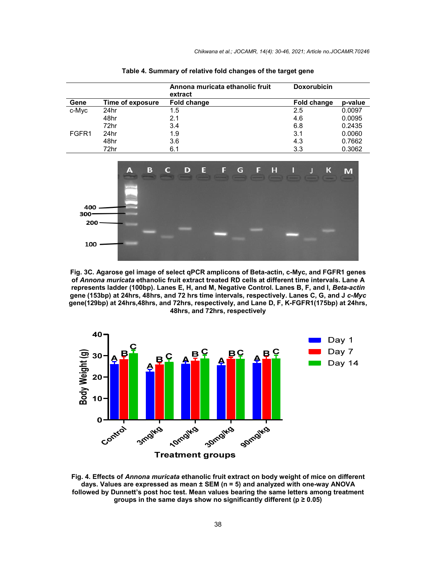|       |                  | Annona muricata ethanolic fruit<br>extract | <b>Doxorubicin</b> |         |
|-------|------------------|--------------------------------------------|--------------------|---------|
| Gene  | Time of exposure | Fold change                                | <b>Fold change</b> | p-value |
| c-Myc | 24hr             | 1.5                                        | 2.5                | 0.0097  |
|       | 48hr             | 2.1                                        | 4.6                | 0.0095  |
|       | 72hr             | 3.4                                        | 6.8                | 0.2435  |
| FGFR1 | 24hr             | 1.9                                        | 3.1                | 0.0060  |
|       | 48hr             | 3.6                                        | 4.3                | 0.7662  |
|       | 72hr             | 6.1                                        | 3.3                | 0.3062  |

**Table 4. Summary of relative fold changes of the target gene**



**Fig. 3C. Agarose gel image of select qPCR amplicons of Beta-actin, c-Myc, and FGFR1 genes of** *Annona muricata* **ethanolic fruit extract treated RD cells at different time intervals. Lane A represents ladder (100bp). Lanes E, H, and M, Negative Control. Lanes B, F, and I,** *Beta-actin* **gene (153bp) at 24hrs, 48hrs, and 72 hrs time intervals, respectively. Lanes C, G, and J** *c-Myc* **gene(129bp) at 24hrs,48hrs, and 72hrs, respectively, and Lane D, F, K-FGFR1(175bp) at 24hrs, 48hrs, and 72hrs, respectively**



**Fig. 4. Effects of** *Annona muricata* **ethanolic fruit extract on body weight of mice on different days. Values are expressed as mean ± SEM (n = 5) and analyzed with one-way ANOVA followed by Dunnett's post hoc test. Mean values bearing the same letters among treatment groups in the same days show no significantly different (p ≥ 0.05)**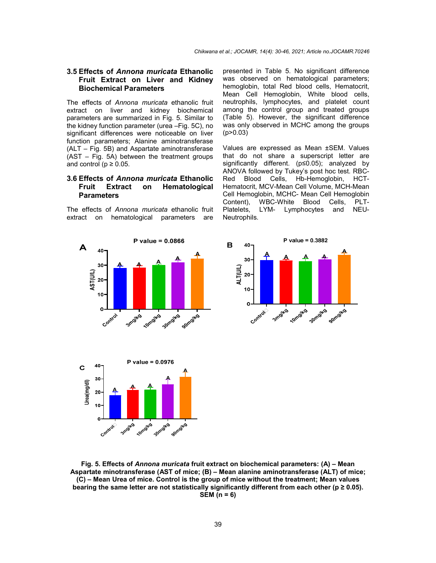# **3.5 Effects of** *Annona muricata* **Ethanolic Fruit Extract on Liver and Kidney Biochemical Parameters**

The effects of *Annona muricata* ethanolic fruit extract on liver and kidney biochemical parameters are summarized in Fig. 5. Similar to the kidney function parameter (urea –Fig. 5C), no significant differences were noticeable on liver function parameters; Alanine aminotransferase (ALT – Fig. 5B) and Aspartate aminotransferase (AST – Fig. 5A) between the treatment groups and control ( $p \ge 0.05$ .

### **3.6 Effects of** *Annona muricata* **Ethanolic Fruit Extract on Hematological Parameters**

The effects of *Annona muricata* ethanolic fruit extract on hematological parameters are presented in Table 5. No significant difference was observed on hematological parameters; hemoglobin, total Red blood cells, Hematocrit, Mean Cell Hemoglobin, White blood cells, neutrophils, lymphocytes, and platelet count among the control group and treated groups (Table 5). However, the significant difference was only observed in MCHC among the groups  $(p > 0.03)$ 

Values are expressed as Mean ±SEM. Values that do not share a superscript letter are significantly different. (p≤0.05); analyzed by ANOVA followed by Tukey's post hoc test. RBC-Red Blood Cells, Hb-Hemoglobin, HCT-Hematocrit, MCV-Mean Cell Volume, MCH-Mean Cell Hemoglobin, MCHC- Mean Cell Hemoglobin Content), WBC-White Blood Cells, PLT-Platelets, LYM- Lymphocytes and NEU-Neutrophils.







**Fig. 5. Effects of** *Annona muricata* **fruit extract on biochemical parameters: (A) – Mean Aspartate minotransferase (AST of mice; (B) – Mean alanine aminotransferase (ALT) of mice; (C) – Mean Urea of mice. Control is the group of mice without the treatment; Mean values**  bearing the same letter are not statistically significantly different from each other ( $p \ge 0.05$ ). **SEM (n = 6)**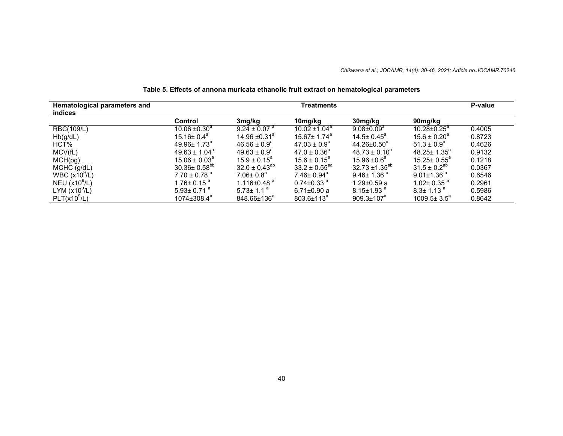### *Chikwana et al.; JOCAMR, 14(4): 30-46, 2021; Article no.JOCAMR.70246*

| Hematological parameters and<br>indices |                              | Treatments                    |                              |                              |                              | P-value |
|-----------------------------------------|------------------------------|-------------------------------|------------------------------|------------------------------|------------------------------|---------|
|                                         | Control                      | 3mg/kg                        | 10mg/kg                      | 30mg/kg                      | 90mg/kg                      |         |
| RBC(109/L)                              | $10.06 \pm 0.30^a$           | $9.24 \pm 0.07$ <sup>a</sup>  | $10.02 \pm 1.04^a$           | $9.08 \pm 0.09^a$            | $10.28 \pm 0.25^a$           | 0.4005  |
| Hb(g/dL)                                | $15.16 \pm 0.4^a$            | 14.96 $\pm$ 0.31 <sup>a</sup> | $15.67 + 1.74$ <sup>a</sup>  | $14.5 + 0.45^{\circ}$        | $15.6 \pm 0.20^a$            | 0.8723  |
| HCT%                                    | $49.96 \pm 1.73^{\circ}$     | $46.56 \pm 0.9^{\circ}$       | $47.03 \pm 0.9^a$            | $44.26 \pm 0.50^a$           | $51.3 \pm 0.9^a$             | 0.4626  |
| MCV(fL)                                 | $49.63 \pm 1.04^a$           | $49.63 \pm 0.9^{\circ}$       | $47.0 \pm 0.36^a$            | $48.73 \pm 0.10^a$           | $48.25 \pm 1.35^a$           | 0.9132  |
| MCH(pg)                                 | $15.06 \pm 0.03^{\circ}$     | $15.9 \pm 0.15^{\circ}$       | $15.6 + 0.15^a$              | $15.96 + 0.6^a$              | $15.25 \pm 0.55^{\circ}$     | 0.1218  |
| MCHC (g/dL)                             | $30.36 \pm 0.58^{bb}$        | $32.0 \pm 0.43^{ab}$          | $33.2 \pm 0.55^{aa}$         | $32.73 \pm 1.35^{ab}$        | $31.5 \pm 0.2^{30}$          | 0.0367  |
| WBC $(x109/L)$                          | $7.70 \pm 0.78$ <sup>a</sup> | $7.06 \pm 0.8$ <sup>a</sup>   | $7.46 \pm 0.94$ <sup>a</sup> | $9.46 \pm 1.36$ <sup>a</sup> | $9.01 \pm 1.36$ <sup>a</sup> | 0.6546  |
| NEU $(x10^9/L)$                         | $1.76 \pm 0.15$ <sup>a</sup> | 1.116 $\pm$ 0.48 $a$          | $0.74 \pm 0.33$ <sup>a</sup> | $1.29 \pm 0.59$ a            | 1.02± 0.35 $^{\circ}$        | 0.2961  |
| LYM $(x10^9/L)$                         | $5.93 \pm 0.71$ <sup>a</sup> | $5.73 \pm 1.1$ <sup>a</sup>   | $6.71 \pm 0.90$ a            | $8.15 \pm 1.93$ <sup>a</sup> | $8.3 \pm 1.13$ <sup>a</sup>  | 0.5986  |
| PLT(x10 <sup>9</sup> /L)                | $1074 \pm 308.4^a$           | 848.66±136 <sup>ª</sup>       | $803.6 \pm 113^a$            | $909.3 \pm 107^a$            | $1009.5 \pm 3.5^{\circ}$     | 0.8642  |

# **Table 5. Effects of annona muricata ethanolic fruit extract on hematological parameters**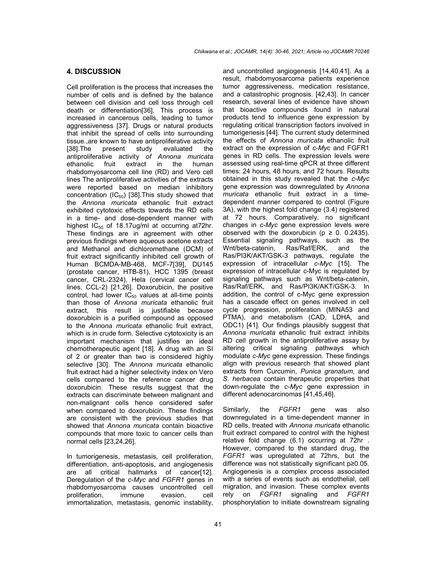### **4. DISCUSSION**

Cell proliferation is the process that increases the number of cells and is defined by the balance between cell division and cell loss through cell death or differentiation[36]. This process is increased in cancerous cells, leading to tumor aggressiveness [37]. Drugs or natural products that inhibit the spread of cells into surrounding tissue.,are known to have antiproliferative activity [38].The present study evaluated the antiproliferative activity *of Annona muricata* ethanolic fruit extract in the human rhabdomyosarcoma cell line (RD) and Vero cell lines The antiproliferative activities of the extracts were reported based on median inhibitory concentration  $(IC_{50})$  [38]. This study showed that the *Annona muricata* ethanolic fruit extract exhibited cytotoxic effects towards the RD cells in a time- and dose-dependent manner with highest  $IC_{50}$  of 18.17ug/ml at occurring at72hr. These findings are in agreement with other previous findings where aqueous acetone extract and Methanol and dichloromethane (DCM) of fruit extract significantly inhibited cell growth of Human BCMDA-MB-468, MCF-7[39], DU145 (prostate cancer, HTB-81), HCC 1395 (breast cancer, CRL-2324), Hela (cervical cancer cell lines, CCL-2) [21,26]. Doxorubicin, the positive control, had lower  $IC_{50}$  values at all-time points than those of *Annona muricata* ethanolic fruit extract, this result is justifiable because doxorubicin is a purified compound as opposed to the *Annona muricata* ethanolic fruit extract, which is in crude form. Selective cytotoxicity is an important mechanism that justifies an ideal chemotherapeutic agent [18]. A drug with an SI of 2 or greater than two is considered highly selective [30]. The *Annona muricata* ethanolic fruit extract had a higher selectivity index on Vero cells compared to the reference cancer drug doxorubicin. These results suggest that the extracts can discriminate between malignant and non-malignant cells hence considered safer when compared to doxorubicin. These findings are consistent with the previous studies that showed that *Annona muricata* contain bioactive compounds that more toxic to cancer cells than normal cells [23,24,26].

In tumorigenesis, metastasis, cell proliferation, differentiation, anti-apoptosis, and angiogenesis are all critical hallmarks of cancer[12]. Deregulation of the *c-Myc* and *FGFR1* genes in rhabdomyosarcoma causes uncontrolled cell proliferation, immune evasion, cell immortalization, metastasis, genomic instability, and uncontrolled angiogenesis [14,40,41]. As a result, rhabdomyosarcoma patients experience tumor aggressiveness, medication resistance, and a catastrophic prognosis. [42,43]. In cancer research, several lines of evidence have shown that bioactive compounds found in natural products tend to influence gene expression by regulating critical transcription factors involved in tumorigenesis [44]. The current study determined the effects of *Annona muricata* ethanolic fruit extract on the expression of *c-Myc* and FGFR1 genes in RD cells. The expression levels were assessed using real-time qPCR at three different times: 24 hours, 48 hours, and 72 hours. Results obtained in this study revealed that the *c-Myc* gene expression was downregulated by *Annona muricata* ethanolic fruit extract in a timedependent manner compared to control (Figure 3A), with the highest fold change (3.4) registered at 72 hours. Comparatively, no significant changes in *c-Myc* gene expression levels were observed with the doxorubicin ( $p \ge 0$ . 0.2435). Essential signaling pathways, such as the Wnt/beta-catenin, Ras/Raf/ERK, and the Ras/PI3K/AKT/GSK-3 pathways, regulate the expression of intracellular *c-Myc* [15]. The expression of intracellular c-Myc is regulated by signaling pathways such as Wnt/beta-catenin, Ras/Raf/ERK, and Ras/PI3K/AKT/GSK-3. In addition, the control of c-Myc gene expression has a cascade effect on genes involved in cell cycle progression, proliferation (MINA53 and PTMA), and metabolism (CAD, LDHA, and ODC1) [41]. Our findings plausibly suggest that *Annona muricata* ethanolic fruit extract inhibits RD cell growth in the antiproliferative assay by altering critical signaling pathways which modulate *c-Myc* gene expression. These findings align with previous research that showed plant extracts from Curcumin, *Punica granatum*, and *S. herbacea* contain therapeutic properties that down-regulate the *c-Myc* gene expression in different adenocarcinomas [41,45,46].

Similarly, the *FGFR1* gene was also downregulated in a time-dependent manner in RD cells, treated with *Annona muricata* ethanolic fruit extract compared to control with the highest relative fold change (6.1) occurring at 72hr . However, compared to the standard drug, the *FGFR1* was upregulated at 72hrs, but the difference was not statistically significant p≥0.05. Angiogenesis is a complex process associated with a series of events such as endothelial, cell migration, and invasion. These complex events rely on *FGFR1* signaling and *FGFR1* phosphorylation to initiate downstream signaling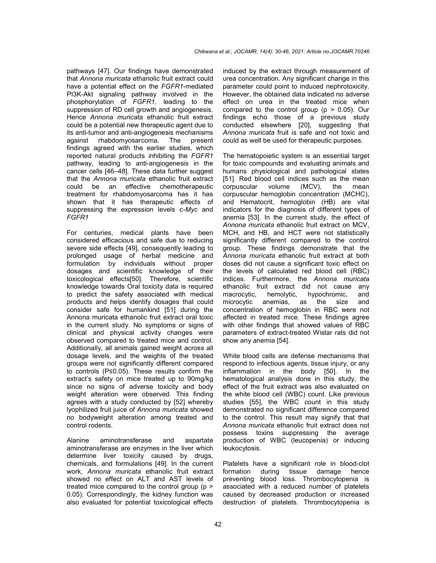pathways [47]. Our findings have demonstrated that *Annona muricata* ethanolic fruit extract could have a potential effect on the *FGFR1*-mediated PI3K-Akt signaling pathway involved in the phosphorylation of *FGFR1,* leading to the suppression of RD cell growth and angiogenesis. Hence *Annona muricata* ethanolic fruit extract could be a potential new therapeutic agent due to its anti-tumor and anti-angiogenesis mechanisms against rhabdomyosarcoma. The present findings agreed with the earlier studies, which reported natural products inhibiting the *FGFR1* pathway, leading to anti-angiogenesis in the cancer cells [46–48]. These data further suggest that the *Annona muricata* ethanolic fruit extract could be an effective chemotherapeutic treatment for rhabdomyosarcoma has it has shown that it has therapeutic effects of suppressing the expression levels c*-Myc* and *FGFR1*

For centuries, medical plants have been considered efficacious and safe due to reducing severe side effects [49], consequently leading to prolonged usage of herbal medicine and formulation by individuals without proper dosages and scientific knowledge of their toxicological effects[50]. Therefore, scientific knowledge towards Oral toxicity data is required to predict the safety associated with medical products and helps identify dosages that could consider safe for humankind [51] during the Annona muricata ethanolic fruit extract oral toxic in the current study. No symptoms or signs of clinical and physical activity changes were observed compared to treated mice and control. Additionally, all animals gained weight across all dosage levels, and the weights of the treated groups were not significantly different compared to controls (P≤0.05). These results confirm the extract's safety on mice treated up to 90mg/kg since no signs of adverse toxicity and body weight alteration were observed. This finding agrees with a study conducted by [52] whereby lyophilized fruit juice of *Annona muricata* showed no bodyweight alteration among treated and control rodents.

Alanine aminotransferase and aspartate aminotransferase are enzymes in the liver which determine liver toxicity caused by drugs, chemicals, and formulations [49]. In the current work, *Annona muricata* ethanolic fruit extract showed no effect on ALT and AST levels of treated mice compared to the control group (p > 0.05). Correspondingly, the kidney function was also evaluated for potential toxicological effects

induced by the extract through measurement of urea concentration. Any significant change in this parameter could point to induced nephrotoxicity. However, the obtained data indicated no adverse effect on urea in the treated mice when compared to the control group ( $p > 0.05$ ). Our findings echo those of a previous study conducted elsewhere [20], suggesting that *Annona muricata* fruit is safe and not toxic and could as well be used for therapeutic purposes.

The hematopoietic system is an essential target for toxic compounds and evaluating animals and humans physiological and pathological states [51]. Red blood cell indices such as the mean corpuscular volume (MCV), the mean corpuscular hemoglobin concentration (MCHC), and Hematocrit, hemoglobin (HB) are vital indicators for the diagnosis of different types of anemia [53]. In the current study, the effect of *Annona muricata* ethanolic fruit extract on MCV, MCH, and HB, and HCT were not statistically significantly different compared to the control group. These findings demonstrate that the *Annona muricata* ethanolic fruit extract at both doses did not cause a significant toxic effect on the levels of calculated red blood cell (RBC) indices. Furthermore, the *Annona muricata* ethanolic fruit extract did not cause any macrocytic, hemolytic, hypochromic, and microcytic anemias, as the size and concentration of hemoglobin in RBC were not affected in treated mice. These findings agree with other findings that showed values of RBC parameters of extract-treated Wistar rats did not show any anemia [54].

White blood cells are defense mechanisms that respond to infectious agents, tissue injury, or any inflammation in the body [50]. In the hematological analysis done in this study, the effect of the fruit extract was also evaluated on the white blood cell (WBC) count. Like previous studies [55], the WBC count in this study demonstrated no significant difference compared to the control. This result may signify that that *Annona muricata* ethanolic fruit extract does not possess toxins suppressing the average production of WBC (leucopenia) or inducing leukocytosis.

Platelets have a significant role in blood-clot formation during tissue damage hence preventing blood loss. Thrombocytopenia is associated with a reduced number of platelets caused by decreased production or increased destruction of platelets. Thrombocytopenia is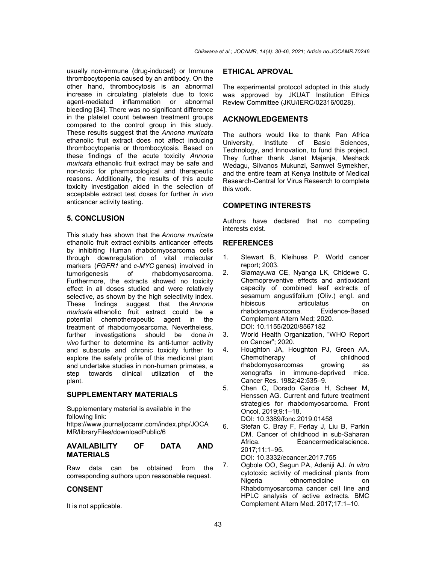usually non-immune (drug-induced) or Immune thrombocytopenia caused by an antibody. On the other hand, thrombocytosis is an abnormal increase in circulating platelets due to toxic agent-mediated inflammation or abnormal bleeding [34]. There was no significant difference in the platelet count between treatment groups compared to the control group in this study. These results suggest that the *Annona muricata* ethanolic fruit extract does not affect inducing thrombocytopenia or thrombocytosis. Based on these findings of the acute toxicity *Annona muricata* ethanolic fruit extract may be safe and non-toxic for pharmacological and therapeutic reasons. Additionally, the results of this acute toxicity investigation aided in the selection of acceptable extract test doses for further *in vivo* anticancer activity testing.

# **5. CONCLUSION**

This study has shown that the *Annona muricata*  ethanolic fruit extract exhibits anticancer effects by inhibiting Human rhabdomyosarcoma cells through downregulation of vital molecular markers (*FGFR1* and *c-MYC* genes) involved in tumorigenesis of rhabdomyosarcoma. of rhabdomyosarcoma. Furthermore, the extracts showed no toxicity effect in all doses studied and were relatively selective, as shown by the high selectivity index. These findings suggest that the *Annona muricata* ethanolic fruit extract could be a potential chemotherapeutic agent in the treatment of rhabdomyosarcoma. Nevertheless, further investigations should be done *in vivo* further to determine its anti-tumor activity and subacute and chronic toxicity further to explore the safety profile of this medicinal plant and undertake studies in non-human primates, a step towards clinical utilization of the plant.

# **SUPPLEMENTARY MATERIALS**

Supplementary material is available in the following link: https://www.journaljocamr.com/index.php/JOCA MR/libraryFiles/downloadPublic/6

### **AVAILABILITY OF DATA AND MATERIALS**

Raw data can be obtained from the corresponding authors upon reasonable request.

# **CONSENT**

It is not applicable.

### **ETHICAL APROVAL**

The experimental protocol adopted in this study was approved by JKUAT Institution Ethics Review Committee (JKU/IERC/02316/0028).

# **ACKNOWLEDGEMENTS**

The authors would like to thank Pan Africa University, Institute of Basic Sciences, Technology, and Innovation, to fund this project. They further thank Janet Majanja, Meshack Wedagu, Silvanos Mukunzi, Samwel Symekher, and the entire team at Kenya Institute of Medical Research-Central for Virus Research to complete this work.

# **COMPETING INTERESTS**

Authors have declared that no competing interests exist.

# **REFERENCES**

- 1. Stewart B, Kleihues P. World cancer report; 2003.
- 2. Siamayuwa CE, Nyanga LK, Chidewe C. Chemopreventive effects and antioxidant capacity of combined leaf extracts of sesamum angustifolium (Oliv.) engl. and hibiscus articulatus on rhabdomyosarcoma. Evidence-Based Complement Altern Med; 2020. DOI: 10.1155/2020/8567182
- 3. World Health Organization, "WHO Report on Cancer"; 2020.
- 4. Houghton JA, Houghton PJ, Green AA. Chemotherapy of childhood<br>rhabdomyosarcomas growing as rhabdomyosarcomas growing as xenografts in immune-deprived mice. Cancer Res. 1982;42:535–9.
- 5. Chen C, Dorado Garcia H, Scheer M, Henssen AG. Current and future treatment strategies for rhabdomyosarcoma. Front Oncol. 2019;9:1–18. DOI: 10.3389/fonc.2019.01458
- 6. Stefan C, Bray F, Ferlay J, Liu B, Parkin DM. Cancer of childhood in sub-Saharan Africa. Ecancermedicalscience. 2017;11:1–95.

DOI: 10.3332/ecancer.2017.755

7. Ogbole OO, Segun PA, Adeniji AJ. *In vitro* cytotoxic activity of medicinal plants from Nigeria ethnomedicine on Rhabdomyosarcoma cancer cell line and HPLC analysis of active extracts. BMC Complement Altern Med. 2017;17:1–10.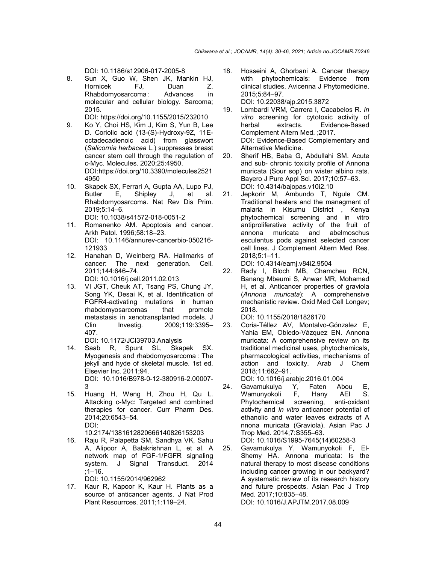DOI: 10.1186/s12906-017-2005-8

8. Sun X, Guo W, Shen JK, Mankin HJ, Hornicek FJ, Duan Z.<br>Rhabdomvosarcoma: Advances in Rhabdomyosarcoma : Advances in molecular and cellular biology. Sarcoma; 2015.

DOI: https://doi.org/10.1155/2015/232010

- 9. Ko Y, Choi HS, Kim J, Kim S, Yun B, Lee D. Coriolic acid (13-(S)-Hydroxy-9Z, 11Eoctadecadienoic acid) from glasswort (*Salicornia herbacea* L.) suppresses breast cancer stem cell through the regulation of c-Myc. Molecules. 2020;25:4950. DOI:https://doi.org/10.3390/molecules2521 4950
- 10. Skapek SX, Ferrari A, Gupta AA, Lupo PJ, Butler E, Shipley J, et al. Rhabdomyosarcoma. Nat Rev Dis Prim. 2019;5:14–6. DOI: 10.1038/s41572-018-0051-2
- 11. Romanenko AM. Apoptosis and cancer. Arkh Patol. 1996;58:18–23. DOI: 10.1146/annurev-cancerbio-050216- 121933
- 12. Hanahan D, Weinberg RA. Hallmarks of cancer: The next generation. Cell. 2011;144:646–74. DOI: 10.1016/j.cell.2011.02.013
- 13. VI JGT, Cheuk AT, Tsang PS, Chung JY, Song YK, Desai K, et al. Identification of FGFR4-activating mutations in human rhabdomyosarcomas that promote metastasis in xenotransplanted models. J Clin Investig. 2009;119:3395-407.
	- DOI: 10.1172/JCI39703.Analysis
- 14. Saab R, Spunt SL, Skapek SX. Myogenesis and rhabdomyosarcoma : The jekyll and hyde of skeletal muscle. 1st ed. Elsevier Inc. 2011;94. DOI: 10.1016/B978-0-12-380916-2.00007- 3
- 15. Huang H, Weng H, Zhou H, Qu L. Attacking c-Myc: Targeted and combined therapies for cancer. Curr Pharm Des. 2014;20:6543–54. DOI:

10.2174/1381612820666140826153203

16. Raju R, Palapetta SM, Sandhya VK, Sahu A, Alipoor A, Balakrishnan L, et al. A network map of FGF-1/FGFR signaling system. J Signal Transduct. 2014 ;1–16.

DOI: 10.1155/2014/962962

17. Kaur R, Kapoor K, Kaur H. Plants as a source of anticancer agents. J Nat Prod Plant Resourrces. 2011;1:119–24.

- 18. Hosseini A, Ghorbani A. Cancer therapy with phytochemicals: Evidence from clinical studies. Avicenna J Phytomedicine. 2015;5:84–97. DOI: 10.22038/ajp.2015.3872
- 19. Lombardi VRM, Carrera I, Cacabelos R. *In vitro* screening for cytotoxic activity of herbal extracts. Evidence-Based Complement Altern Med. ;2017. DOI: Evidence-Based Complementary and Alternative Medicine.
- 20. Sherif HB, Baba G, Abdullahi SM. Acute and sub- chronic toxicity profile of Annona muricata (Sour sop) on wister albino rats. Bayero J Pure Appl Sci. 2017;10:57–63. DOI: 10.4314/bajopas.v10i2.10
- 21. Jepkorir M, Ambundo T, Ngule CM. Traditional healers and the managment of malaria in Kisumu District , Kenya phytochemical screening and in vitro antiproliferative activity of the fruit of annona muricata and abelmoschus esculentus pods against selected cancer cell lines. J Complement Altern Med Res. 2018;5:1–11.

DOI: 10.4314/eamj.v84i2.9504

22. Rady I, Bloch MB, Chamcheu RCN, Banang Mbeumi S, Anwar MR, Mohamed H, et al. Anticancer properties of graviola (*Annona muricata*): A comprehensive mechanistic review. Oxid Med Cell Longev; 2018.

DOI: 10.1155/2018/1826170

23. Coria-Téllez AV, Montalvo-Gónzalez E, Yahia EM, Obledo-Vázquez EN. Annona muricata: A comprehensive review on its traditional medicinal uses, phytochemicals, pharmacological activities, mechanisms of action and toxicity. Arab J Chem 2018;11:662–91.

DOI: 10.1016/j.arabjc.2016.01.004<br>Gavamukulya Y, Faten Ab

- 24. Gavamukulya Y, Faten Abou E, Wamunyokoli F, Hany<br>Phytochemical screening, Phytochemical screening, anti-oxidant activity and *In vitro* anticancer potential of ethanolic and water leaves extracts of A nnona muricata (Graviola). Asian Pac J Trop Med. 2014;7:S355–63. DOI: 10.1016/S1995-7645(14)60258-3
- 25. Gavamukulya Y, Wamunyokoli F, El-Shemy HA. Annona muricata: Is the natural therapy to most disease conditions including cancer growing in our backyard? A systematic review of its research history and future prospects. Asian Pac J Trop Med. 2017;10:835–48. DOI: 10.1016/J.APJTM.2017.08.009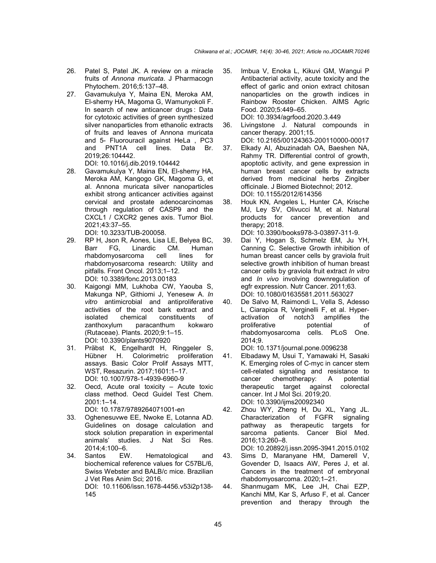- 26. Patel S, Patel JK. A review on a miracle fruits of *Annona muricata*. J Pharmacogn Phytochem. 2016;5:137–48.
- 27. Gavamukulya Y, Maina EN, Meroka AM, El-shemy HA, Magoma G, Wamunyokoli F. In search of new anticancer drugs : Data for cytotoxic activities of green synthesized silver nanoparticles from ethanolic extracts of fruits and leaves of Annona muricata and 5- Fluorouracil against HeLa , PC3 and PNT1A cell lines. Data Br. 2019;26:104442.

DOI: 10.1016/j.dib.2019.104442

- 28. Gavamukulya Y, Maina EN, El-shemy HA, Meroka AM, Kangogo GK, Magoma G, et al. Annona muricata silver nanoparticles exhibit strong anticancer activities against cervical and prostate adenocarcinomas through regulation of CASP9 and the CXCL1 / CXCR2 genes axis. Tumor Biol. 2021;43:37–55. DOI: 10.3233/TUB-200058.
- 29. RP H, Json R, Aones, Lisa LE, Belyea BC, Barr FG, Linardic CM. Human rhabdomyosarcoma cell lines for rhabdomyosarcoma research: Utility and pitfalls. Front Oncol. 2013;1–12. DOI: 10.3389/fonc.2013.00183
- 30. Kaigongi MM, Lukhoba CW, Yaouba S, Makunga NP, Githiomi J, Yenesew A. *In vitro* antimicrobial and antiproliferative activities of the root bark extract and isolated chemical constituents of zanthoxylum paracanthum kokwaro (Rutaceae). Plants. 2020;9:1–15. DOI: 10.3390/plants9070920
- 31. Präbst K, Engelhardt H, Ringgeler S, Hübner H. Colorimetric proliferation assays. Basic Color Prolif Assays MTT, WST, Resazurin. 2017;1601:1–17. DOI: 10.1007/978-1-4939-6960-9
- 32. Oecd, Acute oral toxicity Acute toxic class method. Oecd Guidel Test Chem. 2001:1–14. DOI: 10.1787/9789264071001-en
- 33. Oghenesuvwe EE, Nwoke E, Lotanna AD. Guidelines on dosage calculation and stock solution preparation in experimental animals' studies. J Nat Sci Res. 2014;4:100–6.
- 34. Santos EW. Hematological and biochemical reference values for C57BL/6, Swiss Webster and BALB/c mice. Brazilian J Vet Res Anim Sci; 2016. DOI: 10.11606/issn.1678-4456.v53i2p138- 145
- 35. Imbua V, Enoka L, Kikuvi GM, Wangui P Antibacterial activity, acute toxicity and the effect of garlic and onion extract chitosan nanoparticles on the growth indices in Rainbow Rooster Chicken. AIMS Agric Food. 2020;5:449–65. DOI: 10.3934/agrfood.2020.3.449
- 36. Livingstone J. Natural compounds in cancer therapy. 2001;15.
- DOI: 10.2165/00124363-200110000-00017 37. Elkady AI, Abuzinadah OA, Baeshen NA, Rahmy TR. Differential control of growth, apoptotic activity, and gene expression in human breast cancer cells by extracts derived from medicinal herbs Zingiber officinale. J Biomed Biotechnol; 2012. DOI: 10.1155/2012/614356
- 38. Houk KN, Angeles L, Hunter CA, Krische MJ, Ley SV, Olivucci M, et al. Natural products for cancer prevention and therapy; 2018.

DOI: 10.3390/books978-3-03897-311-9.

- 39. Dai Y, Hogan S, Schmelz EM, Ju YH, Canning C. Selective Growth inhibition of human breast cancer cells by graviola fruit selective growth inhibition of human breast cancer cells by graviola fruit extract *In vitro* and *In vivo* involving downregulation of egfr expression. Nutr Cancer. 2011;63. DOI: 10.1080/01635581.2011.563027
- 40. De Salvo M, Raimondi L, Vella S, Adesso L, Ciarapica R, Verginelli F, et al. Hyperactivation of notch3 amplifies the proliferative potential of rhabdomyosarcoma cells. PLoS One. 2014;9. DOI: 10.1371/journal.pone.0096238
- 41. Elbadawy M, Usui T, Yamawaki H, Sasaki K. Emerging roles of C-myc in cancer stem cell-related signaling and resistance to cancer chemotherapy: A potential therapeutic target against colorectal cancer. Int J Mol Sci. 2019;20. DOI: 10.3390/ijms20092340
- 42. Zhou WY, Zheng H, Du XL, Yang JL. Characterization of FGFR signaling pathway as therapeutic targets for sarcoma patients. Cancer Biol Med. 2016;13:260–8.

DOI: 10.20892/j.issn.2095-3941.2015.0102

- 43. Sims D, Maranyane HM, Damerell V, Govender D, Isaacs AW, Peres J, et al. Cancers in the treatment of embryonal rhabdomyosarcoma. 2020;1–21.
- 44. Shanmugam MK, Lee JH, Chai EZP, Kanchi MM, Kar S, Arfuso F, et al. Cancer prevention and therapy through the